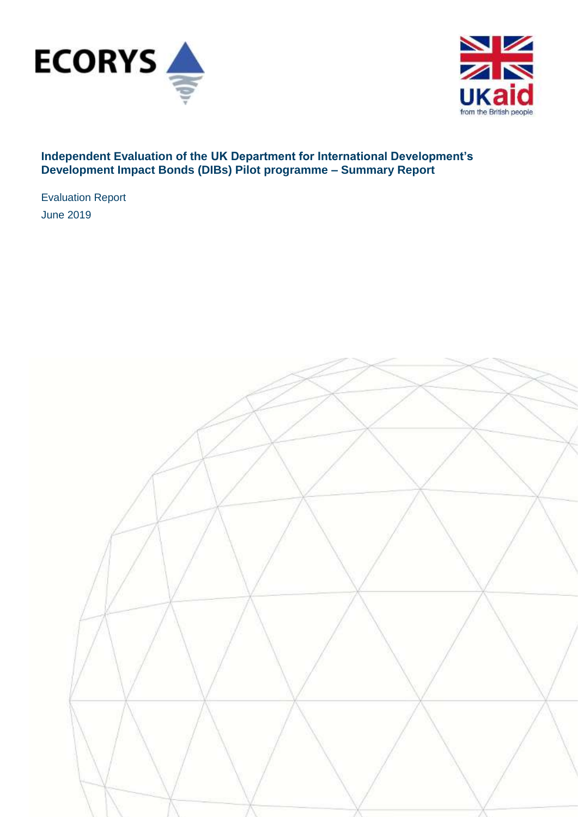



# **Independent Evaluation of the UK Department for International Development's Development Impact Bonds (DIBs) Pilot programme – Summary Report**

Evaluation Report June 2019

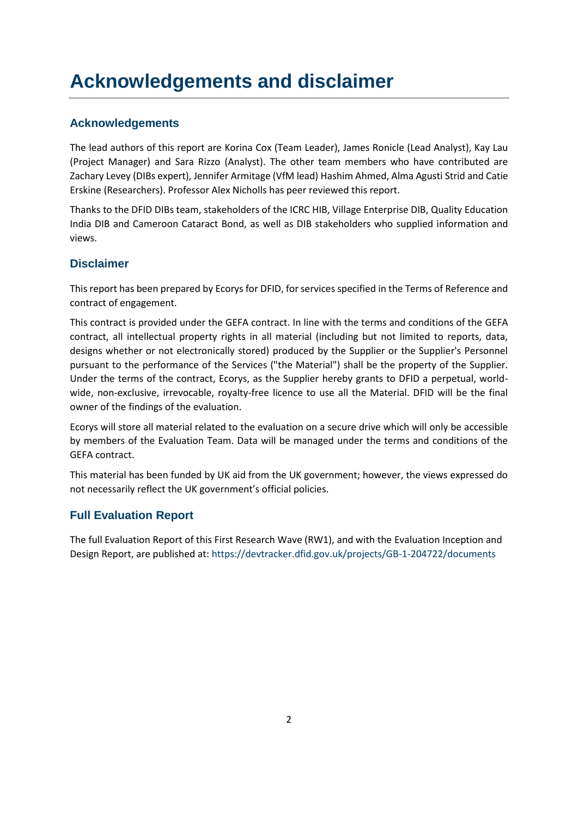# **Acknowledgements and disclaimer**

# **Acknowledgements**

The lead authors of this report are Korina Cox (Team Leader), James Ronicle (Lead Analyst), Kay Lau (Project Manager) and Sara Rizzo (Analyst). The other team members who have contributed are Zachary Levey (DIBs expert), Jennifer Armitage (VfM lead) Hashim Ahmed, Alma Agusti Strid and Catie Erskine (Researchers). Professor Alex Nicholls has peer reviewed this report.

Thanks to the DFID DIBs team, stakeholders of the ICRC HIB, Village Enterprise DIB, Quality Education India DIB and Cameroon Cataract Bond, as well as DIB stakeholders who supplied information and views.

### **Disclaimer**

This report has been prepared by Ecorys for DFID, for services specified in the Terms of Reference and contract of engagement.

This contract is provided under the GEFA contract. In line with the terms and conditions of the GEFA contract, all intellectual property rights in all material (including but not limited to reports, data, designs whether or not electronically stored) produced by the Supplier or the Supplier's Personnel pursuant to the performance of the Services ("the Material") shall be the property of the Supplier. Under the terms of the contract, Ecorys, as the Supplier hereby grants to DFID a perpetual, worldwide, non-exclusive, irrevocable, royalty-free licence to use all the Material. DFID will be the final owner of the findings of the evaluation.

Ecorys will store all material related to the evaluation on a secure drive which will only be accessible by members of the Evaluation Team. Data will be managed under the terms and conditions of the GEFA contract.

This material has been funded by UK aid from the UK government; however, the views expressed do not necessarily reflect the UK government's official policies.

# **Full Evaluation Report**

The full Evaluation Report of this First Research Wave (RW1), and with the Evaluation Inception and Design Report, are published at:<https://devtracker.dfid.gov.uk/projects/GB-1-204722/documents>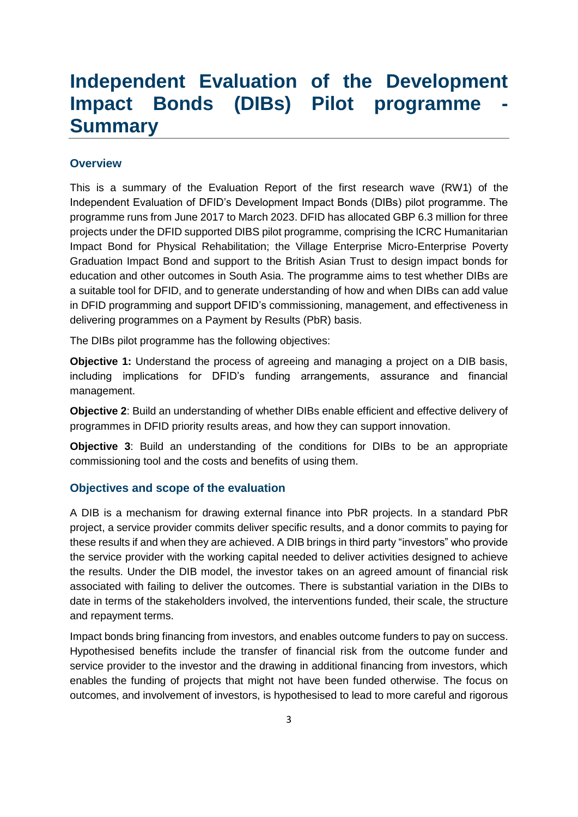# **Independent Evaluation of the Development Impact Bonds (DIBs) Pilot programme Summary**

### **Overview**

This is a summary of the Evaluation Report of the first research wave (RW1) of the Independent Evaluation of DFID's Development Impact Bonds (DIBs) pilot programme. The programme runs from June 2017 to March 2023. DFID has allocated GBP 6.3 million for three projects under the DFID supported DIBS pilot programme, comprising the ICRC Humanitarian Impact Bond for Physical Rehabilitation; the Village Enterprise Micro-Enterprise Poverty Graduation Impact Bond and support to the British Asian Trust to design impact bonds for education and other outcomes in South Asia. The programme aims to test whether DIBs are a suitable tool for DFID, and to generate understanding of how and when DIBs can add value in DFID programming and support DFID's commissioning, management, and effectiveness in delivering programmes on a Payment by Results (PbR) basis.

The DIBs pilot programme has the following objectives:

**Objective 1:** Understand the process of agreeing and managing a project on a DIB basis, including implications for DFID's funding arrangements, assurance and financial management.

**Objective 2**: Build an understanding of whether DIBs enable efficient and effective delivery of programmes in DFID priority results areas, and how they can support innovation.

**Objective 3**: Build an understanding of the conditions for DIBs to be an appropriate commissioning tool and the costs and benefits of using them.

### **Objectives and scope of the evaluation**

A DIB is a mechanism for drawing external finance into PbR projects. In a standard PbR project, a service provider commits deliver specific results, and a donor commits to paying for these results if and when they are achieved. A DIB brings in third party "investors" who provide the service provider with the working capital needed to deliver activities designed to achieve the results. Under the DIB model, the investor takes on an agreed amount of financial risk associated with failing to deliver the outcomes. There is substantial variation in the DIBs to date in terms of the stakeholders involved, the interventions funded, their scale, the structure and repayment terms.

Impact bonds bring financing from investors, and enables outcome funders to pay on success. Hypothesised benefits include the transfer of financial risk from the outcome funder and service provider to the investor and the drawing in additional financing from investors, which enables the funding of projects that might not have been funded otherwise. The focus on outcomes, and involvement of investors, is hypothesised to lead to more careful and rigorous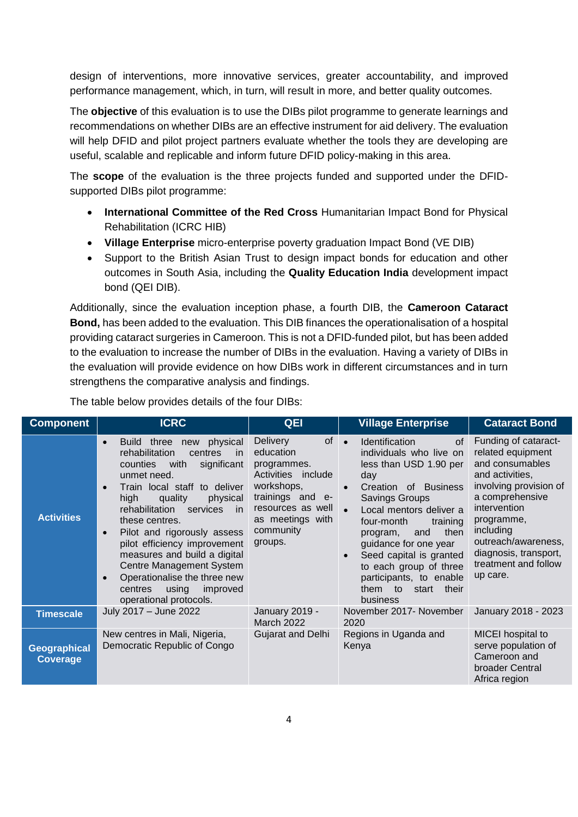design of interventions, more innovative services, greater accountability, and improved performance management, which, in turn, will result in more, and better quality outcomes.

The **objective** of this evaluation is to use the DIBs pilot programme to generate learnings and recommendations on whether DIBs are an effective instrument for aid delivery. The evaluation will help DFID and pilot project partners evaluate whether the tools they are developing are useful, scalable and replicable and inform future DFID policy-making in this area.

The **scope** of the evaluation is the three projects funded and supported under the DFIDsupported DIBs pilot programme:

- **International Committee of the Red Cross** Humanitarian Impact Bond for Physical Rehabilitation (ICRC HIB)
- **Village Enterprise** micro-enterprise poverty graduation Impact Bond (VE DIB)
- Support to the British Asian Trust to design impact bonds for education and other outcomes in South Asia, including the **Quality Education India** development impact bond (QEI DIB).

Additionally, since the evaluation inception phase, a fourth DIB, the **Cameroon Cataract Bond,** has been added to the evaluation. This DIB finances the operationalisation of a hospital providing cataract surgeries in Cameroon. This is not a DFID-funded pilot, but has been added to the evaluation to increase the number of DIBs in the evaluation. Having a variety of DIBs in the evaluation will provide evidence on how DIBs work in different circumstances and in turn strengthens the comparative analysis and findings.

| <b>Component</b>                | <b>ICRC</b>                                                                                                                                                                                                                                                                                                                                                                                                                                                                                                       | QEI                                                                                                                                                                        | <b>Village Enterprise</b>                                                                                                                                                                                                                                                                                                                                                                                     | <b>Cataract Bond</b>                                                                                                                                                                                                                                        |
|---------------------------------|-------------------------------------------------------------------------------------------------------------------------------------------------------------------------------------------------------------------------------------------------------------------------------------------------------------------------------------------------------------------------------------------------------------------------------------------------------------------------------------------------------------------|----------------------------------------------------------------------------------------------------------------------------------------------------------------------------|---------------------------------------------------------------------------------------------------------------------------------------------------------------------------------------------------------------------------------------------------------------------------------------------------------------------------------------------------------------------------------------------------------------|-------------------------------------------------------------------------------------------------------------------------------------------------------------------------------------------------------------------------------------------------------------|
| <b>Activities</b>               | three<br>physical<br><b>Build</b><br>new<br>$\bullet$<br>rehabilitation<br>centres<br>-in<br>significant<br>counties<br>with<br>unmet need.<br>Train local staff to deliver<br>high<br>quality<br>physical<br>rehabilitation<br>services<br>- in<br>these centres.<br>Pilot and rigorously assess<br>$\bullet$<br>pilot efficiency improvement<br>measures and build a digital<br>Centre Management System<br>Operationalise the three new<br>$\bullet$<br>using<br>improved<br>centres<br>operational protocols. | of<br><b>Delivery</b><br>education<br>programmes.<br>Activities include<br>workshops,<br>trainings and e-<br>resources as well<br>as meetings with<br>community<br>groups. | Identification<br>0f<br>$\bullet$<br>individuals who live on<br>less than USD 1.90 per<br>day<br>Creation of Business<br>$\bullet$<br>Savings Groups<br>Local mentors deliver a<br>$\bullet$<br>training<br>four-month<br>then<br>and<br>program,<br>guidance for one year<br>Seed capital is granted<br>$\bullet$<br>to each group of three<br>participants, to enable<br>them to<br>start their<br>business | Funding of cataract-<br>related equipment<br>and consumables<br>and activities,<br>involving provision of<br>a comprehensive<br>intervention<br>programme,<br>including<br>outreach/awareness,<br>diagnosis, transport,<br>treatment and follow<br>up care. |
| <b>Timescale</b>                | July 2017 - June 2022                                                                                                                                                                                                                                                                                                                                                                                                                                                                                             | January 2019 -<br><b>March 2022</b>                                                                                                                                        | November 2017- November<br>2020                                                                                                                                                                                                                                                                                                                                                                               | January 2018 - 2023                                                                                                                                                                                                                                         |
| <b>Geographical</b><br>Coverage | New centres in Mali, Nigeria,<br>Democratic Republic of Congo                                                                                                                                                                                                                                                                                                                                                                                                                                                     | Gujarat and Delhi                                                                                                                                                          | Regions in Uganda and<br>Kenya                                                                                                                                                                                                                                                                                                                                                                                | MICEI hospital to<br>serve population of<br>Cameroon and<br>broader Central<br>Africa region                                                                                                                                                                |

The table below provides details of the four DIBs: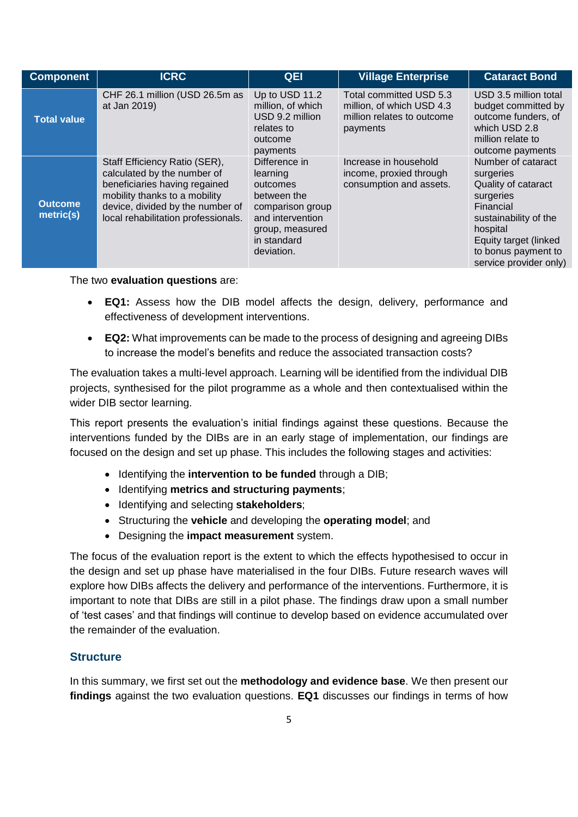| <b>Component</b>            | <b>ICRC</b>                                                                                                                                                                                               | <b>QEI</b>                                                                                                                                   | <b>Village Enterprise</b>                                                                      | <b>Cataract Bond</b>                                                                                                                                                                            |
|-----------------------------|-----------------------------------------------------------------------------------------------------------------------------------------------------------------------------------------------------------|----------------------------------------------------------------------------------------------------------------------------------------------|------------------------------------------------------------------------------------------------|-------------------------------------------------------------------------------------------------------------------------------------------------------------------------------------------------|
| <b>Total value</b>          | CHF 26.1 million (USD 26.5m as<br>at Jan 2019)                                                                                                                                                            | Up to USD 11.2<br>million, of which<br>USD 9.2 million<br>relates to<br>outcome<br>payments                                                  | Total committed USD 5.3<br>million, of which USD 4.3<br>million relates to outcome<br>payments | USD 3.5 million total<br>budget committed by<br>outcome funders, of<br>which USD 2.8<br>million relate to<br>outcome payments                                                                   |
| <b>Outcome</b><br>metric(s) | Staff Efficiency Ratio (SER),<br>calculated by the number of<br>beneficiaries having regained<br>mobility thanks to a mobility<br>device, divided by the number of<br>local rehabilitation professionals. | Difference in<br>learning<br>outcomes<br>between the<br>comparison group<br>and intervention<br>group, measured<br>in standard<br>deviation. | Increase in household<br>income, proxied through<br>consumption and assets.                    | Number of cataract<br>surgeries<br>Quality of cataract<br>surgeries<br>Financial<br>sustainability of the<br>hospital<br>Equity target (linked<br>to bonus payment to<br>service provider only) |

The two **evaluation questions** are:

- **EQ1:** Assess how the DIB model affects the design, delivery, performance and effectiveness of development interventions.
- **EQ2:** What improvements can be made to the process of designing and agreeing DIBs to increase the model's benefits and reduce the associated transaction costs?

The evaluation takes a multi-level approach. Learning will be identified from the individual DIB projects, synthesised for the pilot programme as a whole and then contextualised within the wider DIB sector learning.

This report presents the evaluation's initial findings against these questions. Because the interventions funded by the DIBs are in an early stage of implementation, our findings are focused on the design and set up phase. This includes the following stages and activities:

- Identifying the **intervention to be funded** through a DIB;
- Identifying **metrics and structuring payments**;
- Identifying and selecting **stakeholders**;
- Structuring the **vehicle** and developing the **operating model**; and
- Designing the **impact measurement** system.

The focus of the evaluation report is the extent to which the effects hypothesised to occur in the design and set up phase have materialised in the four DIBs. Future research waves will explore how DIBs affects the delivery and performance of the interventions. Furthermore, it is important to note that DIBs are still in a pilot phase. The findings draw upon a small number of 'test cases' and that findings will continue to develop based on evidence accumulated over the remainder of the evaluation.

# **Structure**

In this summary, we first set out the **methodology and evidence base**. We then present our **findings** against the two evaluation questions. **EQ1** discusses our findings in terms of how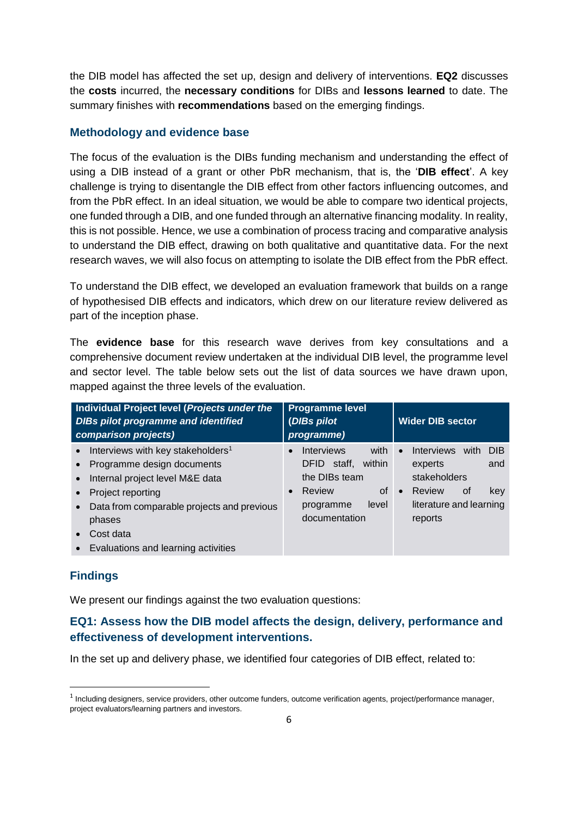the DIB model has affected the set up, design and delivery of interventions. **EQ2** discusses the **costs** incurred, the **necessary conditions** for DIBs and **lessons learned** to date. The summary finishes with **recommendations** based on the emerging findings.

### **Methodology and evidence base**

The focus of the evaluation is the DIBs funding mechanism and understanding the effect of using a DIB instead of a grant or other PbR mechanism, that is, the '**DIB effect**'. A key challenge is trying to disentangle the DIB effect from other factors influencing outcomes, and from the PbR effect. In an ideal situation, we would be able to compare two identical projects, one funded through a DIB, and one funded through an alternative financing modality. In reality, this is not possible. Hence, we use a combination of process tracing and comparative analysis to understand the DIB effect, drawing on both qualitative and quantitative data. For the next research waves, we will also focus on attempting to isolate the DIB effect from the PbR effect.

To understand the DIB effect, we developed an evaluation framework that builds on a range of hypothesised DIB effects and indicators, which drew on our literature review delivered as part of the inception phase.

The **evidence base** for this research wave derives from key consultations and a comprehensive document review undertaken at the individual DIB level, the programme level and sector level. The table below sets out the list of data sources we have drawn upon, mapped against the three levels of the evaluation.

| Individual Project level (Projects under the<br><b>DIBs pilot programme and identified</b><br>comparison projects)                               | <b>Programme level</b><br>(DIBs pilot<br>programme)                                                                      | <b>Wider DIB sector</b>                                                                                                    |
|--------------------------------------------------------------------------------------------------------------------------------------------------|--------------------------------------------------------------------------------------------------------------------------|----------------------------------------------------------------------------------------------------------------------------|
| Interviews with key stakeholders <sup>1</sup><br>Programme design documents<br>Internal project level M&E data<br>$\bullet$<br>Project reporting | with<br><b>Interviews</b><br>$\bullet$<br>within<br>staff.<br>DFID.<br>the DIBs team<br><b>of</b><br>Review<br>$\bullet$ | <b>Interviews</b><br>with<br><b>DIB</b><br>$\bullet$<br>and<br>experts<br>stakeholders<br>Review<br>0f<br>key<br>$\bullet$ |
| Data from comparable projects and previous<br>phases<br>Cost data<br>Evaluations and learning activities                                         | level<br>programme<br>documentation                                                                                      | literature and learning<br>reports                                                                                         |

### **Findings**

**.** 

We present our findings against the two evaluation questions:

# **EQ1: Assess how the DIB model affects the design, delivery, performance and effectiveness of development interventions.**

In the set up and delivery phase, we identified four categories of DIB effect, related to:

<sup>&</sup>lt;sup>1</sup> Including designers, service providers, other outcome funders, outcome verification agents, project/performance manager, project evaluators/learning partners and investors.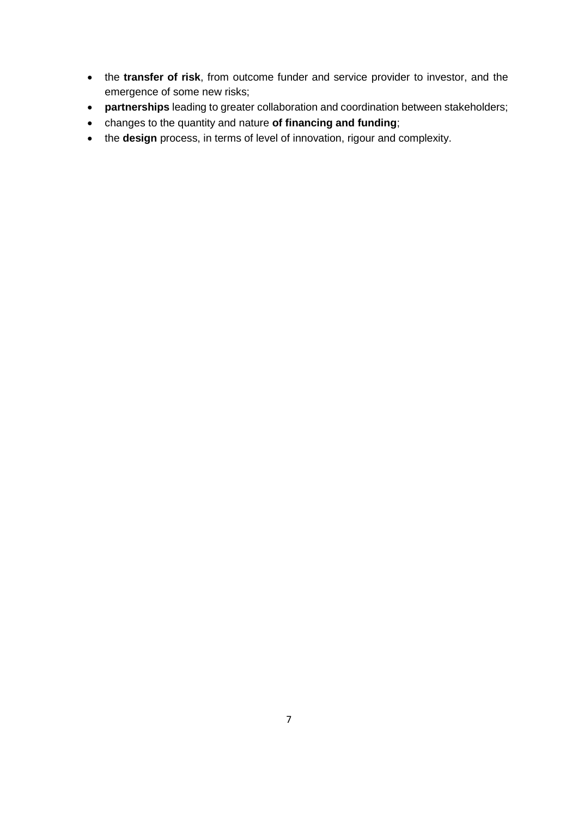- the **transfer of risk**, from outcome funder and service provider to investor, and the emergence of some new risks;
- **partnerships** leading to greater collaboration and coordination between stakeholders;
- changes to the quantity and nature **of financing and funding**;
- the **design** process, in terms of level of innovation, rigour and complexity.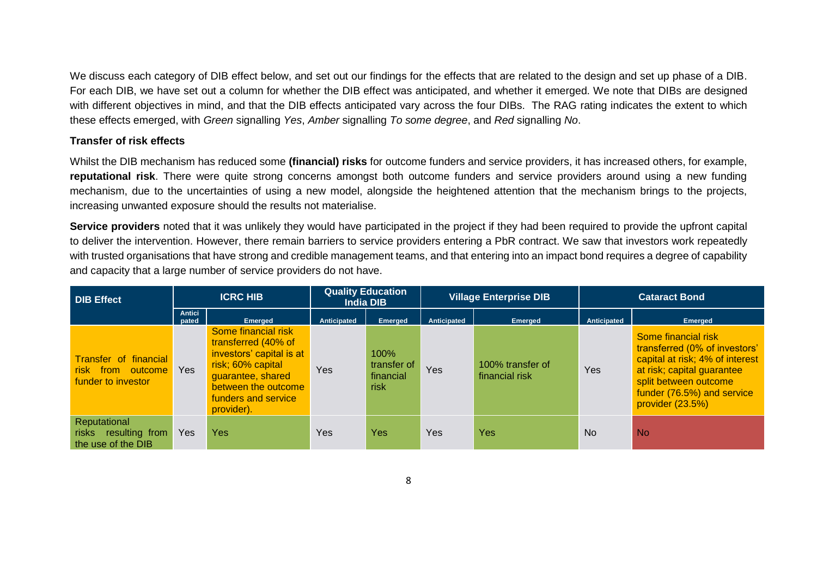We discuss each category of DIB effect below, and set out our findings for the effects that are related to the design and set up phase of a DIB. For each DIB, we have set out a column for whether the DIB effect was anticipated, and whether it emerged. We note that DIBs are designed with different objectives in mind, and that the DIB effects anticipated vary across the four DIBs. The RAG rating indicates the extent to which these effects emerged, with *Green* signalling *Yes*, *Amber* signalling *To some degree*, and *Red* signalling *No*.

### **Transfer of risk effects**

Whilst the DIB mechanism has reduced some **(financial) risks** for outcome funders and service providers, it has increased others, for example, **reputational risk**. There were quite strong concerns amongst both outcome funders and service providers around using a new funding mechanism, due to the uncertainties of using a new model, alongside the heightened attention that the mechanism brings to the projects, increasing unwanted exposure should the results not materialise.

**Service providers** noted that it was unlikely they would have participated in the project if they had been required to provide the upfront capital to deliver the intervention. However, there remain barriers to service providers entering a PbR contract. We saw that investors work repeatedly with trusted organisations that have strong and credible management teams, and that entering into an impact bond requires a degree of capability and capacity that a large number of service providers do not have.

| <b>DIB Effect</b>                                                       | <b>ICRC HIB</b>        |                                                                                                                                                                              | <b>Quality Education</b><br><b>India DIB</b> |                                          | <b>Village Enterprise DIB</b> |                                    | <b>Cataract Bond</b> |                                                                                                                                                                                                    |  |
|-------------------------------------------------------------------------|------------------------|------------------------------------------------------------------------------------------------------------------------------------------------------------------------------|----------------------------------------------|------------------------------------------|-------------------------------|------------------------------------|----------------------|----------------------------------------------------------------------------------------------------------------------------------------------------------------------------------------------------|--|
|                                                                         | <b>Antici</b><br>pated | <b>Emerged</b>                                                                                                                                                               | Anticipated                                  | <b>Emerged</b>                           | Anticipated                   | Emerged                            | Anticipated          | Emerged                                                                                                                                                                                            |  |
| <b>Transfer of financial</b><br>risk from outcome<br>funder to investor | <b>Yes</b>             | Some financial risk<br>transferred (40% of<br>investors' capital is at<br>risk; 60% capital<br>guarantee, shared<br>between the outcome<br>funders and service<br>provider). | Yes                                          | 100%<br>transfer of<br>financial<br>risk | Yes                           | 100% transfer of<br>financial risk | <b>Yes</b>           | Some financial risk<br>transferred (0% of investors'<br>capital at risk; 4% of interest<br>at risk; capital guarantee<br>split between outcome<br>funder (76.5%) and service<br>provider $(23.5%)$ |  |
| Reputational<br><b>risks</b><br>resulting from<br>the use of the DIB    | <b>Yes</b>             | Yes                                                                                                                                                                          | Yes                                          | Yes                                      | Yes                           | Yes                                | <b>No</b>            | <b>No</b>                                                                                                                                                                                          |  |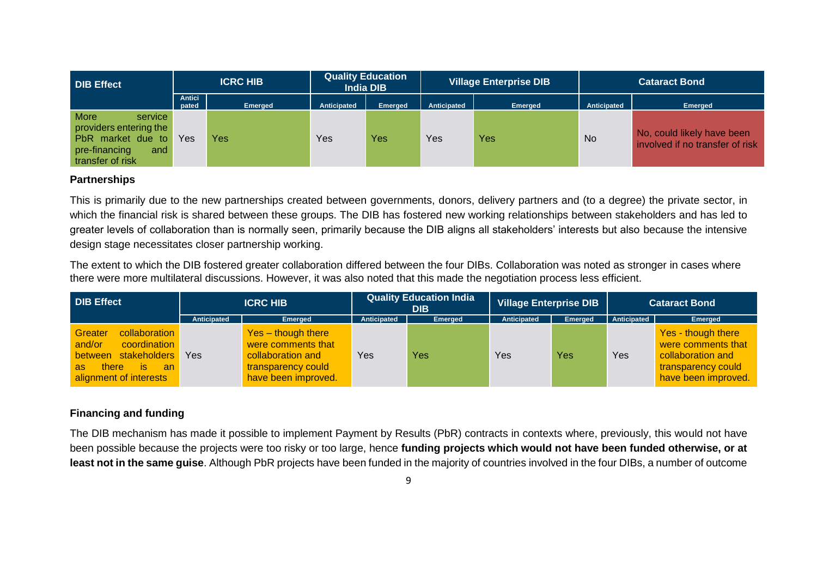| <b>DIB Effect</b>                                                                                                 | <b>ICRC HIB</b> |                | <b>Quality Education</b><br><b>India DIB</b> |                | Village Enterprise DIB |                |             | <b>Cataract Bond</b>                                          |
|-------------------------------------------------------------------------------------------------------------------|-----------------|----------------|----------------------------------------------|----------------|------------------------|----------------|-------------|---------------------------------------------------------------|
|                                                                                                                   | Antici<br>pated | <b>Emerged</b> | Anticipated                                  | <b>Emerged</b> | Anticipated            | <b>Emerged</b> | Anticipated | Emerged                                                       |
| <b>More</b><br>service<br>providers entering the<br>PbR market due to<br>pre-financing<br>and<br>transfer of risk | Yes             | Yes            | Yes                                          | Yes            | Yes                    | Yes            | <b>No</b>   | No, could likely have been<br>involved if no transfer of risk |

### **Partnerships**

This is primarily due to the new partnerships created between governments, donors, delivery partners and (to a degree) the private sector, in which the financial risk is shared between these groups. The DIB has fostered new working relationships between stakeholders and has led to greater levels of collaboration than is normally seen, primarily because the DIB aligns all stakeholders' interests but also because the intensive design stage necessitates closer partnership working.

The extent to which the DIB fostered greater collaboration differed between the four DIBs. Collaboration was noted as stronger in cases where there were more multilateral discussions. However, it was also noted that this made the negotiation process less efficient.

| <b>DIB Effect</b>                                                                                                                      |             | <b>Quality Education India</b><br><b>ICRC HIB</b><br>DIB                                                   |             |                | Village Enterprise DIB |                | <b>Cataract Bond</b> |                                                                                                            |
|----------------------------------------------------------------------------------------------------------------------------------------|-------------|------------------------------------------------------------------------------------------------------------|-------------|----------------|------------------------|----------------|----------------------|------------------------------------------------------------------------------------------------------------|
|                                                                                                                                        | Anticipated | <b>Emerged</b>                                                                                             | Anticipated | <b>Emerged</b> | Anticipated            | <b>Emerged</b> | Anticipated          | Emerged                                                                                                    |
| collaboration<br>Greater<br>and/or<br>coordination<br>stakeholders<br>between<br>there<br>is.<br>an an<br>as<br>alignment of interests | Yes         | Yes - though there<br>were comments that<br>collaboration and<br>transparency could<br>have been improved. | Yes         | Yes            | Yes                    | Yes            | Yes                  | Yes - though there<br>were comments that<br>collaboration and<br>transparency could<br>have been improved. |

# **Financing and funding**

The DIB mechanism has made it possible to implement Payment by Results (PbR) contracts in contexts where, previously, this would not have been possible because the projects were too risky or too large, hence **funding projects which would not have been funded otherwise, or at least not in the same guise**. Although PbR projects have been funded in the majority of countries involved in the four DIBs, a number of outcome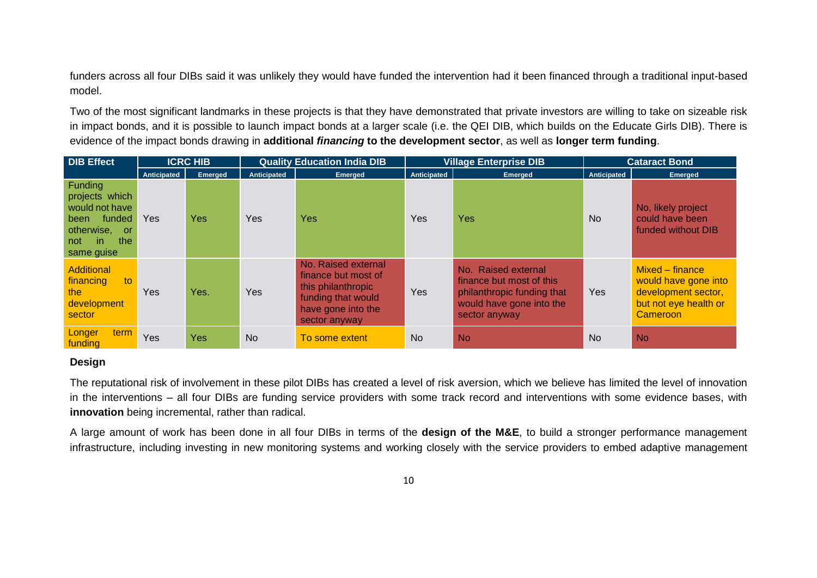funders across all four DIBs said it was unlikely they would have funded the intervention had it been financed through a traditional input-based model.

Two of the most significant landmarks in these projects is that they have demonstrated that private investors are willing to take on sizeable risk in impact bonds, and it is possible to launch impact bonds at a larger scale (i.e. the QEI DIB, which builds on the Educate Girls DIB). There is evidence of the impact bonds drawing in **additional** *financing* **to the development sector**, as well as **longer term funding**.

| <b>DIB Effect</b>                                                                                                 |             | <b>ICRC HIB</b> |             | <b>Quality Education India DIB</b>                                                                                            | <b>Village Enterprise DIB</b> |                                                                                                                            | <b>Cataract Bond</b> |                                                                                                     |  |
|-------------------------------------------------------------------------------------------------------------------|-------------|-----------------|-------------|-------------------------------------------------------------------------------------------------------------------------------|-------------------------------|----------------------------------------------------------------------------------------------------------------------------|----------------------|-----------------------------------------------------------------------------------------------------|--|
|                                                                                                                   | Anticipated | <b>Emerged</b>  | Anticipated | Emerged                                                                                                                       | Anticipated                   | <b>Emerged</b>                                                                                                             | Anticipated          | Emerged                                                                                             |  |
| Funding<br>projects which<br>would not have<br>funded<br>been<br>otherwise, or<br>the<br>in.<br>not<br>same guise | Yes         | Yes             | Yes         | Yes                                                                                                                           | Yes                           | <b>Yes</b>                                                                                                                 | <b>No</b>            | No, likely project<br>could have been<br>funded without DIB                                         |  |
| <b>Additional</b><br>financing<br>to<br>the<br>development<br>sector                                              | Yes         | Yes.            | Yes         | No. Raised external<br>finance but most of<br>this philanthropic<br>funding that would<br>have gone into the<br>sector anyway | Yes                           | No. Raised external<br>finance but most of this<br>philanthropic funding that<br>would have gone into the<br>sector anyway | Yes                  | Mixed – finance<br>would have gone into<br>development sector,<br>but not eye health or<br>Cameroon |  |
| term<br>Longer<br>funding                                                                                         | Yes         | <b>Yes</b>      | <b>No</b>   | To some extent                                                                                                                | <b>No</b>                     | <b>No</b>                                                                                                                  | <b>No</b>            | <b>No</b>                                                                                           |  |

### **Design**

The reputational risk of involvement in these pilot DIBs has created a level of risk aversion, which we believe has limited the level of innovation in the interventions – all four DIBs are funding service providers with some track record and interventions with some evidence bases, with **innovation** being incremental, rather than radical.

A large amount of work has been done in all four DIBs in terms of the **design of the M&E**, to build a stronger performance management infrastructure, including investing in new monitoring systems and working closely with the service providers to embed adaptive management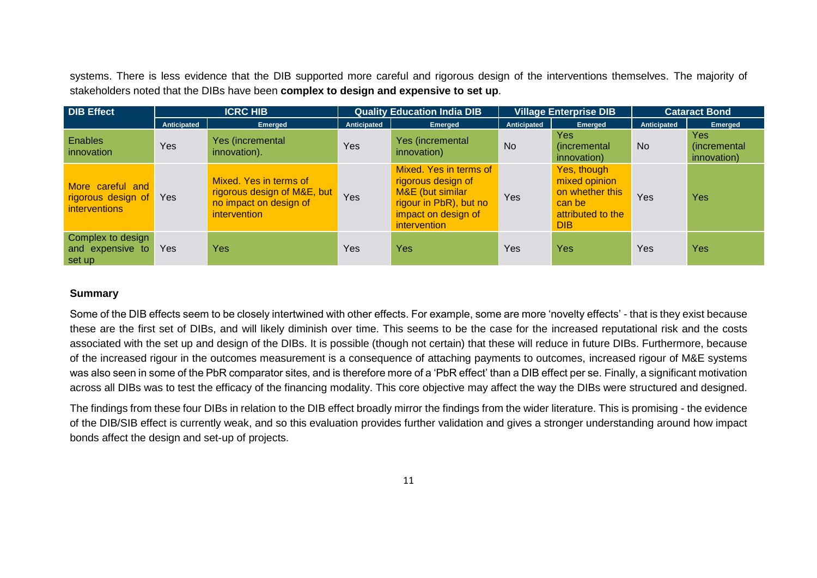systems. There is less evidence that the DIB supported more careful and rigorous design of the interventions themselves. The majority of stakeholders noted that the DIBs have been **complex to design and expensive to set up**.

| <b>DIB Effect</b>                                              |             | <b>ICRC HIB</b>                                                                                        |             | <b>Quality Education India DIB</b><br><b>Village Enterprise DIB</b>                                                               |             | <b>Cataract Bond</b>                                                                         |             |                                           |
|----------------------------------------------------------------|-------------|--------------------------------------------------------------------------------------------------------|-------------|-----------------------------------------------------------------------------------------------------------------------------------|-------------|----------------------------------------------------------------------------------------------|-------------|-------------------------------------------|
|                                                                | Anticipated | <b>Emerged</b>                                                                                         | Anticipated | Emerged                                                                                                                           | Anticipated | Emerged                                                                                      | Anticipated | Emerged                                   |
| <b>Enables</b><br>innovation                                   | <b>Yes</b>  | Yes (incremental<br>innovation).                                                                       | Yes         | Yes (incremental<br>innovation)                                                                                                   | <b>No</b>   | <b>Yes</b><br>(incremental<br>innovation)                                                    | <b>No</b>   | <b>Yes</b><br>(incremental<br>innovation) |
| More careful and<br>rigorous design of<br><i>interventions</i> | Yes         | Mixed. Yes in terms of<br>rigorous design of M&E, but<br>no impact on design of<br><i>intervention</i> | Yes         | Mixed. Yes in terms of<br>rigorous design of<br>M&E (but similar<br>rigour in PbR), but no<br>impact on design of<br>intervention | Yes         | Yes, though<br>mixed opinion<br>on whether this<br>can be<br>attributed to the<br><b>DIB</b> | Yes         | <b>Yes</b>                                |
| Complex to design<br>and expensive to<br>set up                | Yes         | Yes                                                                                                    | Yes         | <b>Yes</b>                                                                                                                        | Yes         | <b>Yes</b>                                                                                   | Yes         | Yes                                       |

### **Summary**

Some of the DIB effects seem to be closely intertwined with other effects. For example, some are more 'novelty effects' - that is they exist because these are the first set of DIBs, and will likely diminish over time. This seems to be the case for the increased reputational risk and the costs associated with the set up and design of the DIBs. It is possible (though not certain) that these will reduce in future DIBs. Furthermore, because of the increased rigour in the outcomes measurement is a consequence of attaching payments to outcomes, increased rigour of M&E systems was also seen in some of the PbR comparator sites, and is therefore more of a 'PbR effect' than a DIB effect per se. Finally, a significant motivation across all DIBs was to test the efficacy of the financing modality. This core objective may affect the way the DIBs were structured and designed.

The findings from these four DIBs in relation to the DIB effect broadly mirror the findings from the wider literature. This is promising - the evidence of the DIB/SIB effect is currently weak, and so this evaluation provides further validation and gives a stronger understanding around how impact bonds affect the design and set-up of projects.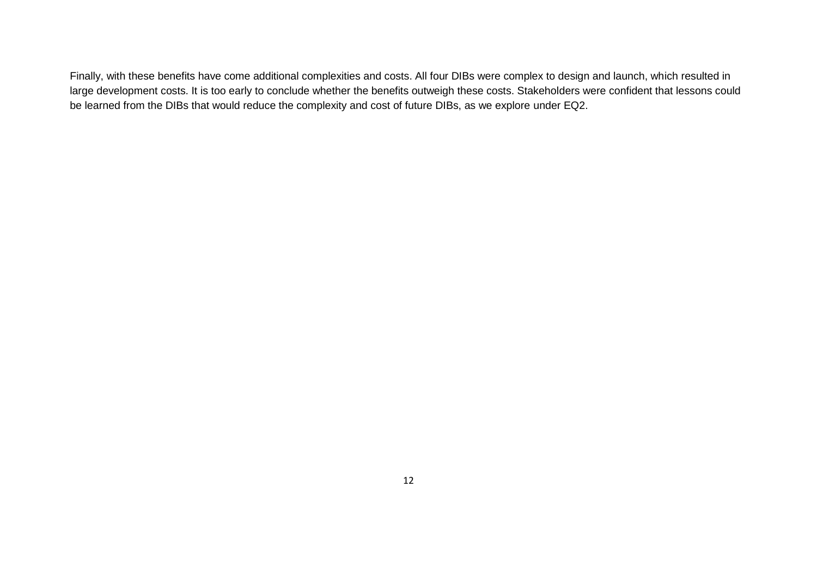Finally, with these benefits have come additional complexities and costs. All four DIBs were complex to design and launch, which resulted in large development costs. It is too early to conclude whether the benefits outweigh these costs. Stakeholders were confident that lessons could be learned from the DIBs that would reduce the complexity and cost of future DIBs, as we explore under EQ2.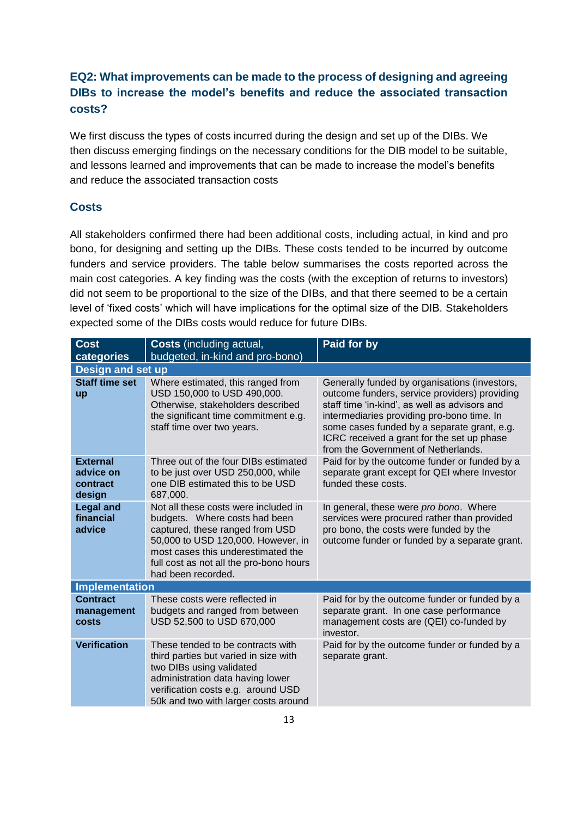# **EQ2: What improvements can be made to the process of designing and agreeing DIBs to increase the model's benefits and reduce the associated transaction costs?**

We first discuss the types of costs incurred during the design and set up of the DIBs. We then discuss emerging findings on the necessary conditions for the DIB model to be suitable, and lessons learned and improvements that can be made to increase the model's benefits and reduce the associated transaction costs

# **Costs**

All stakeholders confirmed there had been additional costs, including actual, in kind and pro bono, for designing and setting up the DIBs. These costs tended to be incurred by outcome funders and service providers. The table below summarises the costs reported across the main cost categories. A key finding was the costs (with the exception of returns to investors) did not seem to be proportional to the size of the DIBs, and that there seemed to be a certain level of 'fixed costs' which will have implications for the optimal size of the DIB. Stakeholders expected some of the DIBs costs would reduce for future DIBs.

| <b>Cost</b><br>categories                          | <b>Costs</b> (including actual,<br>budgeted, in-kind and pro-bono)                                                                                                                                                                                    | Paid for by                                                                                                                                                                                                                                                                                                                       |  |  |  |  |  |  |  |
|----------------------------------------------------|-------------------------------------------------------------------------------------------------------------------------------------------------------------------------------------------------------------------------------------------------------|-----------------------------------------------------------------------------------------------------------------------------------------------------------------------------------------------------------------------------------------------------------------------------------------------------------------------------------|--|--|--|--|--|--|--|
| <b>Design and set up</b>                           |                                                                                                                                                                                                                                                       |                                                                                                                                                                                                                                                                                                                                   |  |  |  |  |  |  |  |
| <b>Staff time set</b><br>up                        | Where estimated, this ranged from<br>USD 150,000 to USD 490,000.<br>Otherwise, stakeholders described<br>the significant time commitment e.g.<br>staff time over two years.                                                                           | Generally funded by organisations (investors,<br>outcome funders, service providers) providing<br>staff time 'in-kind', as well as advisors and<br>intermediaries providing pro-bono time. In<br>some cases funded by a separate grant, e.g.<br>ICRC received a grant for the set up phase<br>from the Government of Netherlands. |  |  |  |  |  |  |  |
| <b>External</b><br>advice on<br>contract<br>design | Three out of the four DIBs estimated<br>to be just over USD 250,000, while<br>one DIB estimated this to be USD<br>687,000.                                                                                                                            | Paid for by the outcome funder or funded by a<br>separate grant except for QEI where Investor<br>funded these costs.                                                                                                                                                                                                              |  |  |  |  |  |  |  |
| <b>Legal and</b><br>financial<br>advice            | Not all these costs were included in<br>budgets. Where costs had been<br>captured, these ranged from USD<br>50,000 to USD 120,000. However, in<br>most cases this underestimated the<br>full cost as not all the pro-bono hours<br>had been recorded. | In general, these were pro bono. Where<br>services were procured rather than provided<br>pro bono, the costs were funded by the<br>outcome funder or funded by a separate grant.                                                                                                                                                  |  |  |  |  |  |  |  |
| <b>Implementation</b>                              |                                                                                                                                                                                                                                                       |                                                                                                                                                                                                                                                                                                                                   |  |  |  |  |  |  |  |
| <b>Contract</b><br>management<br><b>costs</b>      | These costs were reflected in<br>budgets and ranged from between<br>USD 52,500 to USD 670,000                                                                                                                                                         | Paid for by the outcome funder or funded by a<br>separate grant. In one case performance<br>management costs are (QEI) co-funded by<br>investor.                                                                                                                                                                                  |  |  |  |  |  |  |  |
| <b>Verification</b>                                | These tended to be contracts with<br>third parties but varied in size with<br>two DIBs using validated<br>administration data having lower<br>verification costs e.g. around USD<br>50k and two with larger costs around                              | Paid for by the outcome funder or funded by a<br>separate grant.                                                                                                                                                                                                                                                                  |  |  |  |  |  |  |  |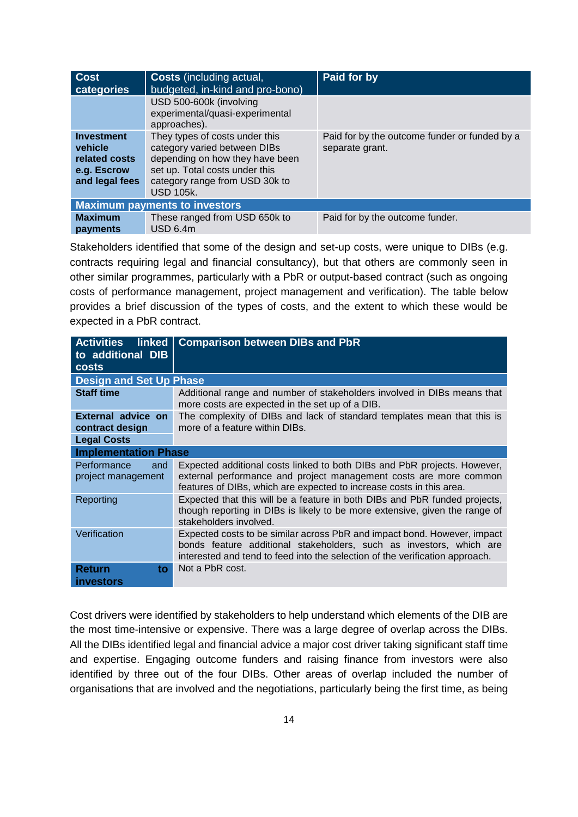| <b>Cost</b><br>categories                                                      | <b>Costs</b> (including actual,<br>budgeted, in-kind and pro-bono)                                                                                                                        | Paid for by                                                      |
|--------------------------------------------------------------------------------|-------------------------------------------------------------------------------------------------------------------------------------------------------------------------------------------|------------------------------------------------------------------|
|                                                                                | USD 500-600k (involving<br>experimental/quasi-experimental<br>approaches).                                                                                                                |                                                                  |
| <b>Investment</b><br>vehicle<br>related costs<br>e.g. Escrow<br>and legal fees | They types of costs under this<br>category varied between DIBs<br>depending on how they have been<br>set up. Total costs under this<br>category range from USD 30k to<br><b>USD 105k.</b> | Paid for by the outcome funder or funded by a<br>separate grant. |
|                                                                                | <b>Maximum payments to investors</b>                                                                                                                                                      |                                                                  |
| <b>Maximum</b><br>payments                                                     | These ranged from USD 650k to<br>$USD$ 6.4m                                                                                                                                               | Paid for by the outcome funder.                                  |

Stakeholders identified that some of the design and set-up costs, were unique to DIBs (e.g. contracts requiring legal and financial consultancy), but that others are commonly seen in other similar programmes, particularly with a PbR or output-based contract (such as ongoing costs of performance management, project management and verification). The table below provides a brief discussion of the types of costs, and the extent to which these would be expected in a PbR contract.

| <b>Activities</b><br>linked  <br>to additional DIB<br><b>costs</b> | <b>Comparison between DIBs and PbR</b>                                                                                                                                                                                          |  |  |  |
|--------------------------------------------------------------------|---------------------------------------------------------------------------------------------------------------------------------------------------------------------------------------------------------------------------------|--|--|--|
| <b>Design and Set Up Phase</b>                                     |                                                                                                                                                                                                                                 |  |  |  |
| <b>Staff time</b>                                                  | Additional range and number of stakeholders involved in DIBs means that<br>more costs are expected in the set up of a DIB.                                                                                                      |  |  |  |
| External advice on<br>contract design                              | The complexity of DIBs and lack of standard templates mean that this is<br>more of a feature within DIBs.                                                                                                                       |  |  |  |
| <b>Legal Costs</b>                                                 |                                                                                                                                                                                                                                 |  |  |  |
| <b>Implementation Phase</b>                                        |                                                                                                                                                                                                                                 |  |  |  |
| Performance<br>and<br>project management                           | Expected additional costs linked to both DIBs and PbR projects. However,<br>external performance and project management costs are more common<br>features of DIBs, which are expected to increase costs in this area.           |  |  |  |
| Reporting                                                          | Expected that this will be a feature in both DIBs and PbR funded projects,<br>though reporting in DIBs is likely to be more extensive, given the range of<br>stakeholders involved.                                             |  |  |  |
| Verification                                                       | Expected costs to be similar across PbR and impact bond. However, impact<br>bonds feature additional stakeholders, such as investors, which are<br>interested and tend to feed into the selection of the verification approach. |  |  |  |
| Return<br>to.<br><b>investors</b>                                  | Not a PbR cost.                                                                                                                                                                                                                 |  |  |  |

Cost drivers were identified by stakeholders to help understand which elements of the DIB are the most time-intensive or expensive. There was a large degree of overlap across the DIBs. All the DIBs identified legal and financial advice a major cost driver taking significant staff time and expertise. Engaging outcome funders and raising finance from investors were also identified by three out of the four DIBs. Other areas of overlap included the number of organisations that are involved and the negotiations, particularly being the first time, as being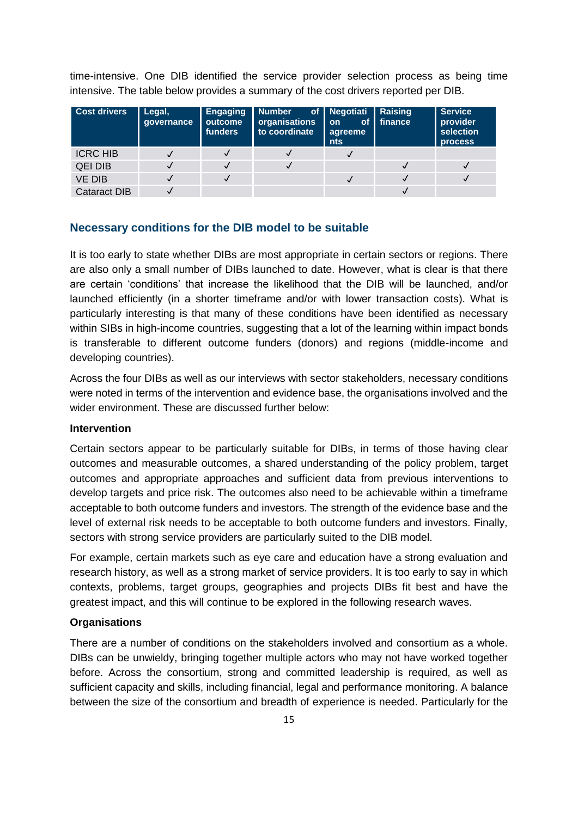time-intensive. One DIB identified the service provider selection process as being time intensive. The table below provides a summary of the cost drivers reported per DIB.

| <b>Cost drivers</b> | Legal,<br>qovernance | <b>Engaging</b><br>outcome<br>funders | <b>Number</b><br>organisations<br>to coordinate | of   Negotiati   Raising<br>$\blacksquare$ on<br>agreeme<br><b>nts</b> | $\overline{\phantom{a}}$ of finance | <b>Service</b><br>provider<br>selection<br><b>process</b> |
|---------------------|----------------------|---------------------------------------|-------------------------------------------------|------------------------------------------------------------------------|-------------------------------------|-----------------------------------------------------------|
| <b>ICRC HIB</b>     |                      |                                       |                                                 |                                                                        |                                     |                                                           |
| <b>QEI DIB</b>      |                      |                                       |                                                 |                                                                        |                                     |                                                           |
| <b>VE DIB</b>       |                      |                                       |                                                 |                                                                        |                                     |                                                           |
| <b>Cataract DIB</b> |                      |                                       |                                                 |                                                                        |                                     |                                                           |

### **Necessary conditions for the DIB model to be suitable**

It is too early to state whether DIBs are most appropriate in certain sectors or regions. There are also only a small number of DIBs launched to date. However, what is clear is that there are certain 'conditions' that increase the likelihood that the DIB will be launched, and/or launched efficiently (in a shorter timeframe and/or with lower transaction costs). What is particularly interesting is that many of these conditions have been identified as necessary within SIBs in high-income countries, suggesting that a lot of the learning within impact bonds is transferable to different outcome funders (donors) and regions (middle-income and developing countries).

Across the four DIBs as well as our interviews with sector stakeholders, necessary conditions were noted in terms of the intervention and evidence base, the organisations involved and the wider environment. These are discussed further below:

#### **Intervention**

Certain sectors appear to be particularly suitable for DIBs, in terms of those having clear outcomes and measurable outcomes, a shared understanding of the policy problem, target outcomes and appropriate approaches and sufficient data from previous interventions to develop targets and price risk. The outcomes also need to be achievable within a timeframe acceptable to both outcome funders and investors. The strength of the evidence base and the level of external risk needs to be acceptable to both outcome funders and investors. Finally, sectors with strong service providers are particularly suited to the DIB model.

For example, certain markets such as eye care and education have a strong evaluation and research history, as well as a strong market of service providers. It is too early to say in which contexts, problems, target groups, geographies and projects DIBs fit best and have the greatest impact, and this will continue to be explored in the following research waves.

### **Organisations**

There are a number of conditions on the stakeholders involved and consortium as a whole. DIBs can be unwieldy, bringing together multiple actors who may not have worked together before. Across the consortium, strong and committed leadership is required, as well as sufficient capacity and skills, including financial, legal and performance monitoring. A balance between the size of the consortium and breadth of experience is needed. Particularly for the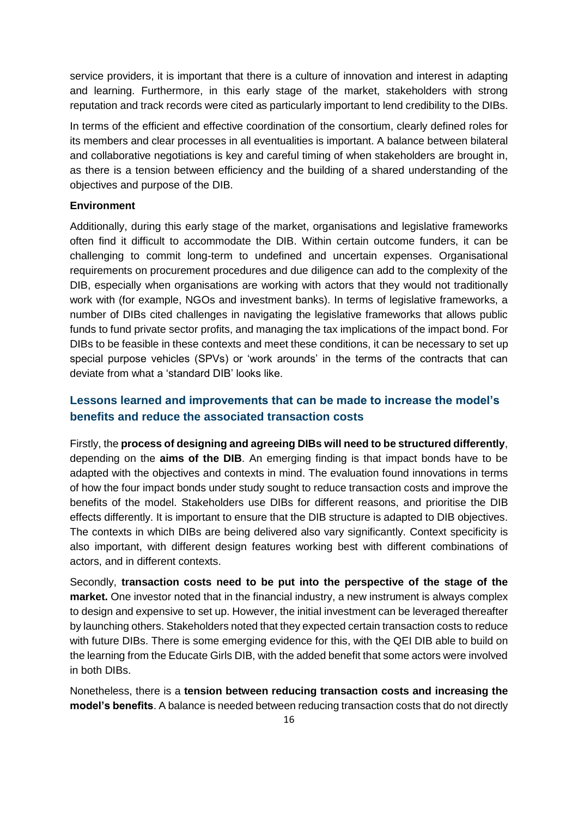service providers, it is important that there is a culture of innovation and interest in adapting and learning. Furthermore, in this early stage of the market, stakeholders with strong reputation and track records were cited as particularly important to lend credibility to the DIBs.

In terms of the efficient and effective coordination of the consortium, clearly defined roles for its members and clear processes in all eventualities is important. A balance between bilateral and collaborative negotiations is key and careful timing of when stakeholders are brought in, as there is a tension between efficiency and the building of a shared understanding of the objectives and purpose of the DIB.

### **Environment**

Additionally, during this early stage of the market, organisations and legislative frameworks often find it difficult to accommodate the DIB. Within certain outcome funders, it can be challenging to commit long-term to undefined and uncertain expenses. Organisational requirements on procurement procedures and due diligence can add to the complexity of the DIB, especially when organisations are working with actors that they would not traditionally work with (for example, NGOs and investment banks). In terms of legislative frameworks, a number of DIBs cited challenges in navigating the legislative frameworks that allows public funds to fund private sector profits, and managing the tax implications of the impact bond. For DIBs to be feasible in these contexts and meet these conditions, it can be necessary to set up special purpose vehicles (SPVs) or 'work arounds' in the terms of the contracts that can deviate from what a 'standard DIB' looks like.

# **Lessons learned and improvements that can be made to increase the model's benefits and reduce the associated transaction costs**

Firstly, the **process of designing and agreeing DIBs will need to be structured differently**, depending on the **aims of the DIB**. An emerging finding is that impact bonds have to be adapted with the objectives and contexts in mind. The evaluation found innovations in terms of how the four impact bonds under study sought to reduce transaction costs and improve the benefits of the model. Stakeholders use DIBs for different reasons, and prioritise the DIB effects differently. It is important to ensure that the DIB structure is adapted to DIB objectives. The contexts in which DIBs are being delivered also vary significantly. Context specificity is also important, with different design features working best with different combinations of actors, and in different contexts.

Secondly, **transaction costs need to be put into the perspective of the stage of the market.** One investor noted that in the financial industry, a new instrument is always complex to design and expensive to set up. However, the initial investment can be leveraged thereafter by launching others. Stakeholders noted that they expected certain transaction costs to reduce with future DIBs. There is some emerging evidence for this, with the QEI DIB able to build on the learning from the Educate Girls DIB, with the added benefit that some actors were involved in both DIBs.

Nonetheless, there is a **tension between reducing transaction costs and increasing the model's benefits**. A balance is needed between reducing transaction costs that do not directly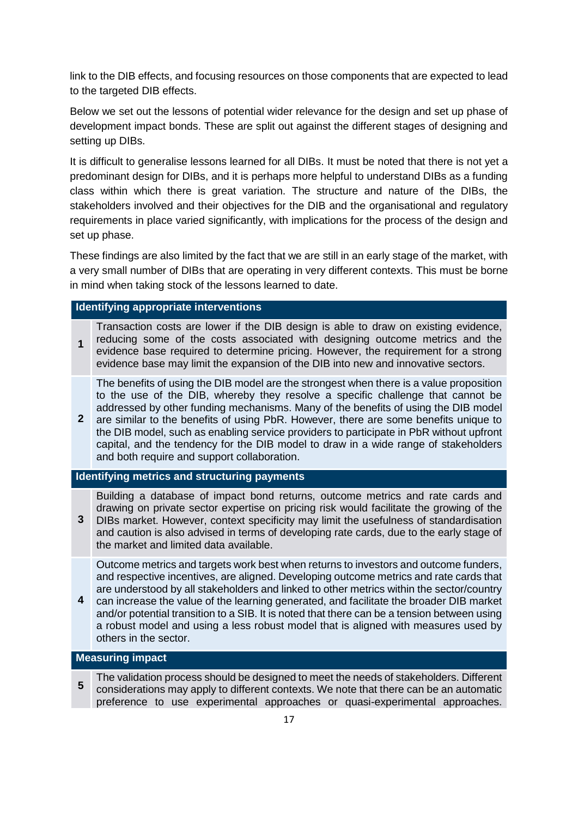link to the DIB effects, and focusing resources on those components that are expected to lead to the targeted DIB effects.

Below we set out the lessons of potential wider relevance for the design and set up phase of development impact bonds. These are split out against the different stages of designing and setting up DIBs.

It is difficult to generalise lessons learned for all DIBs. It must be noted that there is not yet a predominant design for DIBs, and it is perhaps more helpful to understand DIBs as a funding class within which there is great variation. The structure and nature of the DIBs, the stakeholders involved and their objectives for the DIB and the organisational and regulatory requirements in place varied significantly, with implications for the process of the design and set up phase.

These findings are also limited by the fact that we are still in an early stage of the market, with a very small number of DIBs that are operating in very different contexts. This must be borne in mind when taking stock of the lessons learned to date.

### **Identifying appropriate interventions**

**1** Transaction costs are lower if the DIB design is able to draw on existing evidence, reducing some of the costs associated with designing outcome metrics and the evidence base required to determine pricing. However, the requirement for a strong evidence base may limit the expansion of the DIB into new and innovative sectors.

The benefits of using the DIB model are the strongest when there is a value proposition to the use of the DIB, whereby they resolve a specific challenge that cannot be addressed by other funding mechanisms. Many of the benefits of using the DIB model

2 are similar to the benefits of using PbR. However, there are some benefits unique to the DIB model, such as enabling service providers to participate in PbR without upfront capital, and the tendency for the DIB model to draw in a wide range of stakeholders and both require and support collaboration.

### **Identifying metrics and structuring payments**

Building a database of impact bond returns, outcome metrics and rate cards and drawing on private sector expertise on pricing risk would facilitate the growing of the

**3** DIBs market. However, context specificity may limit the usefulness of standardisation and caution is also advised in terms of developing rate cards, due to the early stage of the market and limited data available.

Outcome metrics and targets work best when returns to investors and outcome funders, and respective incentives, are aligned. Developing outcome metrics and rate cards that are understood by all stakeholders and linked to other metrics within the sector/country

**4** can increase the value of the learning generated, and facilitate the broader DIB market and/or potential transition to a SIB. It is noted that there can be a tension between using a robust model and using a less robust model that is aligned with measures used by others in the sector.

### **Measuring impact**

**5** The validation process should be designed to meet the needs of stakeholders. Different considerations may apply to different contexts. We note that there can be an automatic preference to use experimental approaches or quasi-experimental approaches.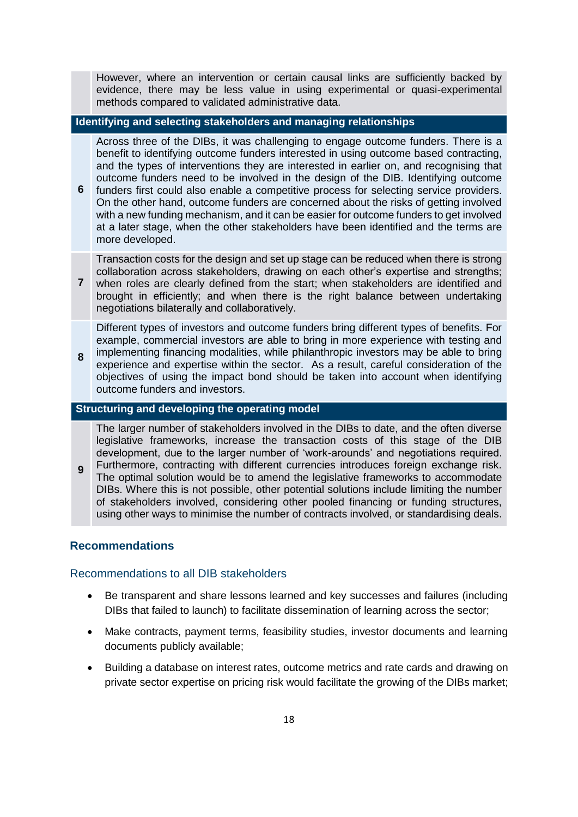However, where an intervention or certain causal links are sufficiently backed by evidence, there may be less value in using experimental or quasi-experimental methods compared to validated administrative data.

### **Identifying and selecting stakeholders and managing relationships**

Across three of the DIBs, it was challenging to engage outcome funders. There is a benefit to identifying outcome funders interested in using outcome based contracting, and the types of interventions they are interested in earlier on, and recognising that outcome funders need to be involved in the design of the DIB. Identifying outcome

**6** funders first could also enable a competitive process for selecting service providers. On the other hand, outcome funders are concerned about the risks of getting involved with a new funding mechanism, and it can be easier for outcome funders to get involved at a later stage, when the other stakeholders have been identified and the terms are more developed.

Transaction costs for the design and set up stage can be reduced when there is strong collaboration across stakeholders, drawing on each other's expertise and strengths;

**7** when roles are clearly defined from the start; when stakeholders are identified and brought in efficiently; and when there is the right balance between undertaking negotiations bilaterally and collaboratively.

Different types of investors and outcome funders bring different types of benefits. For example, commercial investors are able to bring in more experience with testing and implementing financing modalities, while philanthropic investors may be able to bring

**8** experience and expertise within the sector. As a result, careful consideration of the objectives of using the impact bond should be taken into account when identifying outcome funders and investors.

### **Structuring and developing the operating model**

The larger number of stakeholders involved in the DIBs to date, and the often diverse legislative frameworks, increase the transaction costs of this stage of the DIB development, due to the larger number of 'work-arounds' and negotiations required.

**9** Furthermore, contracting with different currencies introduces foreign exchange risk. The optimal solution would be to amend the legislative frameworks to accommodate DIBs. Where this is not possible, other potential solutions include limiting the number of stakeholders involved, considering other pooled financing or funding structures, using other ways to minimise the number of contracts involved, or standardising deals.

### **Recommendations**

### Recommendations to all DIB stakeholders

- Be transparent and share lessons learned and key successes and failures (including DIBs that failed to launch) to facilitate dissemination of learning across the sector;
- Make contracts, payment terms, feasibility studies, investor documents and learning documents publicly available;
- Building a database on interest rates, outcome metrics and rate cards and drawing on private sector expertise on pricing risk would facilitate the growing of the DIBs market;